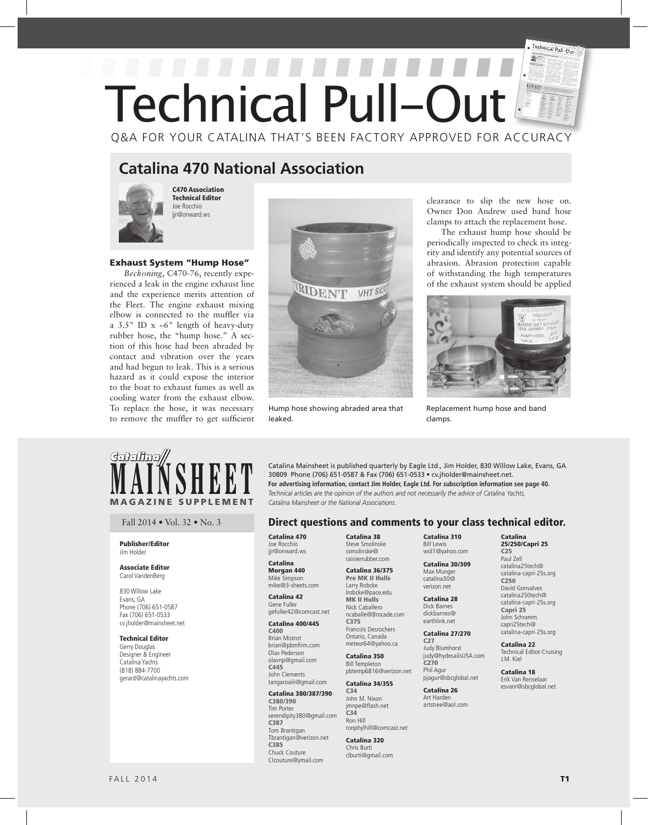# Technical Pull-Out Technical Pull-Ou

Q&A FOR YOUR CATALINA THAT'S BEEN FACTORY APPROVED FOR ACCURACY

### **Catalina 470 National Association**



C470 Association **Technical Editor** Joe Rocchio jjr@onward.ws

#### Exhaust System "Hump Hose"

Beckoning, C470-76, recently experienced a leak in the engine exhaust line and the experience merits attention of the Fleet. The engine exhaust mixing elbow is connected to the muffler via a  $3.5$ " ID x ~6" length of heavy-duty rubber hose, the "hump hose." A section of this hose had been abraded by contact and vibration over the years and had begun to leak. This is a serious hazard as it could expose the interior to the boat to exhaust fumes as well as cooling water from the exhaust elbow. To replace the hose, it was necessary to remove the muffler to get sufficient



Hump hose showing abraded area that leaked.

clearance to slip the new hose on. Owner Don Andrew used band hose clamps to attach the replacement hose.

The exhaust hump hose should be periodically inspected to check its integrity and identify any potential sources of abrasion. Abrasion protection capable of withstanding the high temperatures of the exhaust system should be applied



Replacement hump hose and band clamps.

## (कालीिक MAGAZINE SUPPLEMENT

#### Publisher/Fditor Jim Holder

#### Associate Editor Carol VandenBerg

830 Willow Lake Evans, GA Phone (706) 651-0587 Fax (706) 651-0533 cv.jholder@mainsheet.net

#### **Technical Editor**

Gerry Douglas Designer & Engineer Catalina Yachts (818) 884-7700 gerard@catalinayachts.com

**MAINSHEET** Catalina Mainsheet is published quarterly by Eagle Ltd., Jim Holder, 830 Willow Lake, Evans, GA 30809 Phone (706) 651-0587 & Fax (706) 651-0533 • cv.jholder@mainsheet.net.<br>For advertising information, contact J 30809 Phone (706) 651-0587 & Fax (706) 651-0533 • cv.jholder@mainsheet.net. **For advertising information, contact Jim Holder, Eagle Ltd. For subscription information see page 40.** *Catalina Mainsheet or the National Associations.* 

#### Fall 2014 • Vol. 32 • No. 3 **Direct questions and comments to your class technical editor.**

Catalina 470 Joe Rocchio jir@onward.ws

#### Catalina Morgan 440

Mike Simpson mike@3-sheets.com Catalina 42

Gene Fuller gefuller42@comcast.net

#### Catalina 400/445 C400

Brian Mistrot brian@pbmfirm.com Olav Pederson olavnp@gmail.com C445 John Clements

tangaroaiii@gmail.com Catalina 380/387/390

#### C380/390 Tim Porter serendipity380@gmail.com C387 Tom Brantigan Tbrantigan@verizon.net C385

Chuck Couture Clcouture@ymail.com Catalina 38 Steve Smolinske ssmolinske@ rainierrubber.com

Catalina 36/375 Pre MK II Hulls

Larry Robcke lrobcke@pace.edu MK II Hulls Nick Caballero ncaballe@Brocade.com C375

Francois Desrochers Ontario, Canada meteor64@yahoo.ca

#### Catalina 350 Bill Templeton pbtemp6816@verizon.net

#### Catalina 34/355 C34 John M. Nixon

ronphylhill@comcast.net Catalina 320 Chris Burti clburti@gmail.com

jmnpe@flash.net C34 Ron Hill

#### Catalina 25/250/Capri 25

 Catalina 30/309 Max Munger catalina30@ verizon.net

Catalina 28 Dick Barnes dickbarnes@ earthlink.net

Catalina 310 Bill Lewis wol1@yahoo.com

#### Catalina 27/270 C27

Judy Blumhorst judy@hydesailsUSA.com C270 Phil Agur pjagur@sbcglobal.net

Catalina 26 Art Harden artstree@aol.com

#### C25 Paul Zell catalina25tech@ catalina-capri-25s.org

C250 David Gonsalves catalina250tech@ catalina-capri-25s.org Capri 25 John Schramm capri25tech@ catalina-capri-25s.org

Catalina 22 Technical Editor-Cruising J.M. Kiel

Catalina 18 Erik Van Renselaar esvanr@sbcglobal.net